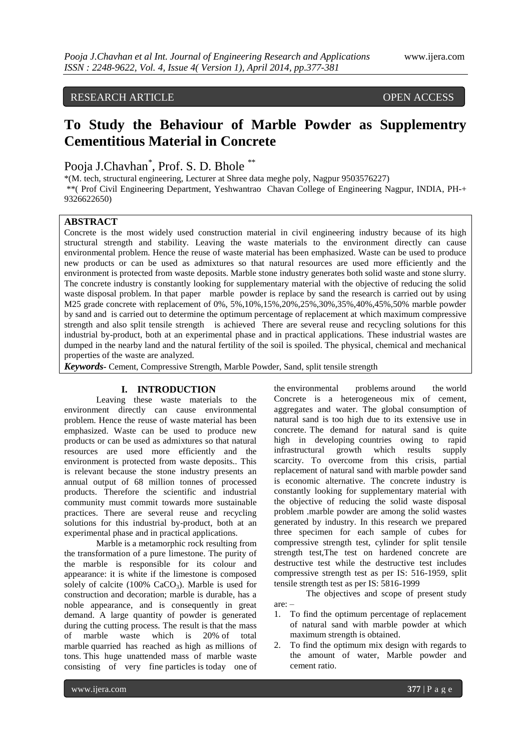# RESEARCH ARTICLE OPEN ACCESS

# **To Study the Behaviour of Marble Powder as Supplementry Cementitious Material in Concrete**

Pooja J.Chavhan<sup>\*</sup>, Prof. S. D. Bhole<sup>\*\*</sup>

\*(M. tech, structural engineering, Lecturer at Shree data meghe poly, Nagpur 9503576227) \*\*( Prof Civil Engineering Department, Yeshwantrao Chavan College of Engineering Nagpur, INDIA, PH-+ 9326622650)

## **ABSTRACT**

Concrete is the most widely used construction material in civil engineering industry because of its high structural strength and stability. Leaving the waste materials to the environment directly can cause environmental problem. Hence the reuse of waste material has been emphasized. Waste can be used to produce new products or can be used as admixtures so that natural resources are used more efficiently and the environment is protected from waste deposits. Marble stone industry generates both solid waste and stone slurry. The concrete industry is constantly looking for supplementary material with the objective of reducing the solid waste disposal problem. In that paper marble powder is replace by sand the research is carried out by using M25 grade concrete with replacement of 0%, 5%,10%,15%,20%,25%,30%,35%,40%,45%,50% marble powder by sand and is carried out to determine the optimum percentage of replacement at which maximum compressive strength and also split tensile strength is achieved There are several reuse and recycling solutions for this industrial by-product, both at an experimental phase and in practical applications. These industrial wastes are dumped in the nearby land and the natural fertility of the soil is spoiled. The physical, chemical and mechanical properties of the waste are analyzed.

*Keywords-* Cement, Compressive Strength, Marble Powder, Sand, split tensile strength

## **I. INTRODUCTION**

Leaving these waste materials to the environment directly can cause environmental problem. Hence the reuse of waste material has been emphasized. Waste can be used to produce new products or can be used as admixtures so that natural resources are used more efficiently and the environment is protected from waste deposits.. This is relevant because the stone industry presents an annual output of 68 million tonnes of processed products. Therefore the scientific and industrial community must commit towards more sustainable practices. There are several reuse and recycling solutions for this industrial by-product, both at an experimental phase and in practical applications.

Marble is a metamorphic rock resulting from the transformation of a pure limestone. The purity of the marble is responsible for its colour and appearance: it is white if the limestone is composed solely of calcite  $(100\% \text{ CaCO}_3)$ . Marble is used for construction and decoration; marble is durable, has a noble appearance, and is consequently in great demand. A large quantity of powder is generated during the cutting process. The result is that the mass of marble waste which is 20% of total marble quarried has reached as high as millions of tons. This huge unattended mass of marble waste consisting of very fine particles is today one of

the environmental problems around the world Concrete is a heterogeneous mix of cement, aggregates and water. The global consumption of natural sand is too high due to its extensive use in concrete. The demand for natural sand is quite high in developing countries owing to rapid infrastructural growth which results supply scarcity. To overcome from this crisis, partial replacement of natural sand with marble powder sand is economic alternative. The concrete industry is constantly looking for supplementary material with the objective of reducing the solid waste disposal problem .marble powder are among the solid wastes generated by industry. In this research we prepared three specimen for each sample of cubes for compressive strength test, cylinder for split tensile strength test,The test on hardened concrete are destructive test while the destructive test includes compressive strength test as per IS: 516-1959, split tensile strength test as per IS: 5816-1999

The objectives and scope of present study are: –

- 1. To find the optimum percentage of replacement of natural sand with marble powder at which maximum strength is obtained.
- 2. To find the optimum mix design with regards to the amount of water, Marble powder and cement ratio.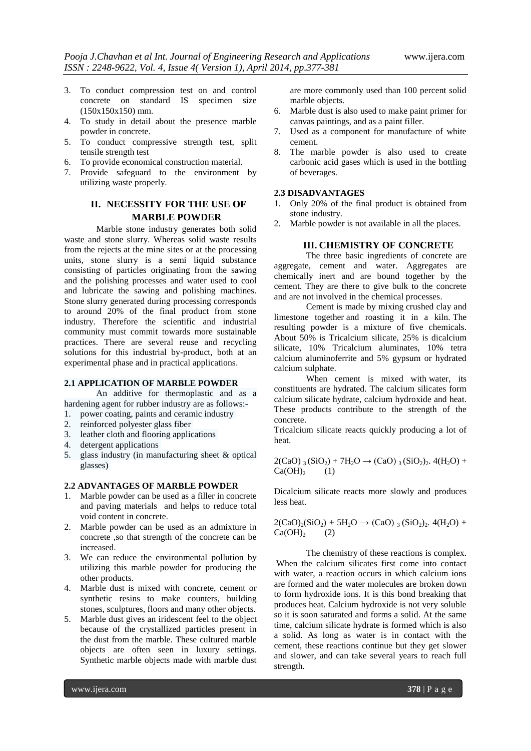- 3. To conduct compression test on and control concrete on standard IS specimen size (150x150x150) mm.
- 4. To study in detail about the presence marble powder in concrete.
- 5. To conduct compressive strength test, split tensile strength test
- 6. To provide economical construction material.
- 7. Provide safeguard to the environment by utilizing waste properly.

## **II. NECESSITY FOR THE USE OF MARBLE POWDER**

Marble stone industry generates both solid waste and stone slurry. Whereas solid waste results from the rejects at the mine sites or at the processing units, stone slurry is a semi liquid substance consisting of particles originating from the sawing and the polishing processes and water used to cool and lubricate the sawing and polishing machines. Stone slurry generated during processing corresponds to around 20% of the final product from stone industry. Therefore the scientific and industrial community must commit towards more sustainable practices. There are several reuse and recycling solutions for this industrial by-product, both at an experimental phase and in practical applications.

#### **2.1 APPLICATION OF MARBLE POWDER**

An additive for thermoplastic and as a hardening agent for rubber industry are as follows:-

- 1. power coating, paints and ceramic industry
- 2. reinforced polyester glass fiber
- 3. leather cloth and flooring applications
- 4. detergent applications
- 5. glass industry (in manufacturing sheet & optical glasses)

## **2.2 ADVANTAGES OF MARBLE POWDER**

- 1. Marble powder can be used as a filler in concrete and paving materials and helps to reduce total void content in concrete.
- 2. Marble powder can be used as an admixture in concrete ,so that strength of the concrete can be increased.
- 3. We can reduce the environmental pollution by utilizing this marble powder for producing the other products.
- 4. Marble dust is mixed with concrete, cement or synthetic resins to make counters, building stones, sculptures, floors and many other objects.
- 5. Marble dust gives an iridescent feel to the object because of the crystallized particles present in the dust from the marble. These cultured marble objects are often seen in luxury settings. Synthetic marble objects made with marble dust

are more commonly used than 100 percent solid marble objects.

- 6. Marble dust is also used to make paint primer for canvas paintings, and as a paint filler.
- 7. Used as a component for manufacture of white cement.
- 8. The marble powder is also used to create carbonic acid gases which is used in the bottling of beverages.

#### **2.3 DISADVANTAGES**

- 1. Only 20% of the final product is obtained from stone industry.
- 2. Marble powder is not available in all the places.

#### **III. CHEMISTRY OF CONCRETE**

The three basic ingredients of concrete are aggregate, cement and water. Aggregates are chemically inert and are bound together by the cement. They are there to give bulk to the concrete and are not involved in the chemical processes.

Cement is made by mixing crushed clay and limestone together and roasting it in a kiln. The resulting powder is a mixture of five chemicals. About 50% is Tricalcium silicate, 25% is dicalcium silicate, 10% Tricalcium aluminates, 10% tetra calcium aluminoferrite and 5% gypsum or hydrated calcium sulphate.

When cement is mixed with water, its constituents are hydrated. The calcium silicates form calcium silicate hydrate, calcium hydroxide and heat. These products contribute to the strength of the concrete.

Tricalcium silicate reacts quickly producing a lot of heat.

 $2(CaO)$  3 (SiO<sub>2</sub>) + 7H<sub>2</sub>O  $\rightarrow$  (CaO) 3 (SiO<sub>2</sub>)<sub>2</sub>. 4(H<sub>2</sub>O) +  $Ca(OH)<sub>2</sub>$  (1)

Dicalcium silicate reacts more slowly and produces less heat.

$$
2(CaO)2(SiO2) + 5H2O \rightarrow (CaO)3 (SiO2)2. 4(H2O) + Ca(OH)2
$$
 (2)

The chemistry of these reactions is complex. When the calcium silicates first come into contact with water, a reaction occurs in which calcium ions are formed and the water [molecules](http://www.suite101.com/content/molecular-bonds-a16707) are broken down to form hydroxide ions. It is this bond breaking that produces heat. Calcium hydroxide is not very soluble so it is soon saturated and forms a solid. At the same time, calcium silicate hydrate is formed which is also a solid. As long as water is in contact with the cement, these reactions continue but they get slower and slower, and can take several years to reach full strength.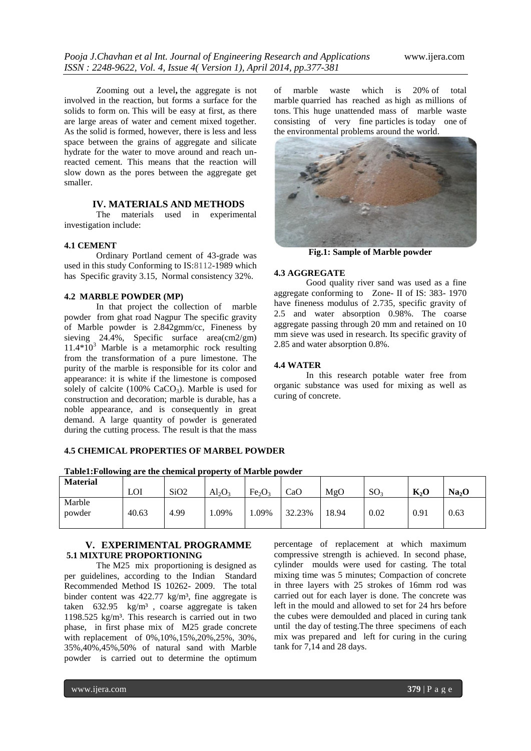Zooming out a level**,** the aggregate is not involved in the reaction, but forms a surface for the solids to form on. This will be easy at first, as there are large areas of water and cement mixed together. As the solid is formed, however, there is less and less space between the grains of aggregate and silicate hydrate for the water to move around and reach unreacted cement. This means that the reaction will slow down as the pores between the aggregate get smaller.

## **IV. MATERIALS AND METHODS**

The materials used in experimental investigation include:

#### **4.1 CEMENT**

Ordinary Portland cement of 43-grade was used in this study Conforming to IS:8112-1989 which has Specific gravity 3.15, Normal consistency 32%.

#### **4.2 MARBLE POWDER (MP)**

In that project the collection of marble powder from ghat road Nagpur The specific gravity of Marble powder is 2.842gmm/cc, Fineness by sieving  $24.4\%$ . Specific surface area(cm2/gm)  $11.4*10<sup>3</sup>$  Marble is a metamorphic rock resulting from the transformation of a pure limestone. The purity of the marble is responsible for its color and appearance: it is white if the limestone is composed solely of calcite  $(100\% \text{ CaCO}_3)$ . Marble is used for construction and decoration; marble is durable, has a noble appearance, and is consequently in great demand. A large quantity of powder is generated during the cutting process. The result is that the mass

of marble waste which is 20% of total marble quarried has reached as high as millions of tons. This huge unattended mass of marble waste consisting of very fine particles is today one of the environmental problems around the world.



**Fig.1: Sample of Marble powder**

#### **4.3 AGGREGATE**

Good quality river sand was used as a fine aggregate conforming to Zone- II of IS: 383- 1970 have fineness modulus of 2.735, specific gravity of 2.5 and water absorption 0.98%. The coarse aggregate passing through 20 mm and retained on 10 mm sieve was used in research. Its specific gravity of 2.85 and water absorption 0.8%.

#### **4.4 WATER**

In this research potable water free from organic substance was used for mixing as well as curing of concrete.

#### **4.5 CHEMICAL PROPERTIES OF MARBEL POWDER**

|  | Table1: Following are the chemical property of Marble powder |
|--|--------------------------------------------------------------|
|  |                                                              |

| <b>Material</b>  |       |                  |           |                                |        |       |                 |        |                   |
|------------------|-------|------------------|-----------|--------------------------------|--------|-------|-----------------|--------|-------------------|
|                  | LOI   | SiO <sub>2</sub> | $Al_2O_3$ | Fe <sub>2</sub> O <sub>3</sub> | CaO    | MgO   | SO <sub>3</sub> | $K_2O$ | Na <sub>2</sub> O |
| Marble<br>powder | 40.63 | 4.99             | 1.09%     | .09%                           | 32.23% | 18.94 | 0.02            | 0.91   | 0.63              |

### **V. EXPERIMENTAL PROGRAMME 5.1 MIXTURE PROPORTIONING**

The M25 mix proportioning is designed as per guidelines, according to the Indian Standard Recommended Method IS 10262- 2009. The total binder content was  $422.77 \text{ kg/m}^3$ , fine aggregate is taken 632.95 kg/m³ , coarse aggregate is taken 1198.525 kg/m³. This research is carried out in two phase, in first phase mix of M25 grade concrete with replacement of 0%,10%,15%,20%,25%, 30%, 35%,40%,45%,50% of natural sand with Marble powder is carried out to determine the optimum

percentage of replacement at which maximum compressive strength is achieved. In second phase, cylinder moulds were used for casting. The total mixing time was 5 minutes; Compaction of concrete in three layers with 25 strokes of 16mm rod was carried out for each layer is done. The concrete was left in the mould and allowed to set for 24 hrs before the cubes were demoulded and placed in curing tank until the day of testing.The three specimens of each mix was prepared and left for curing in the curing tank for 7,14 and 28 days.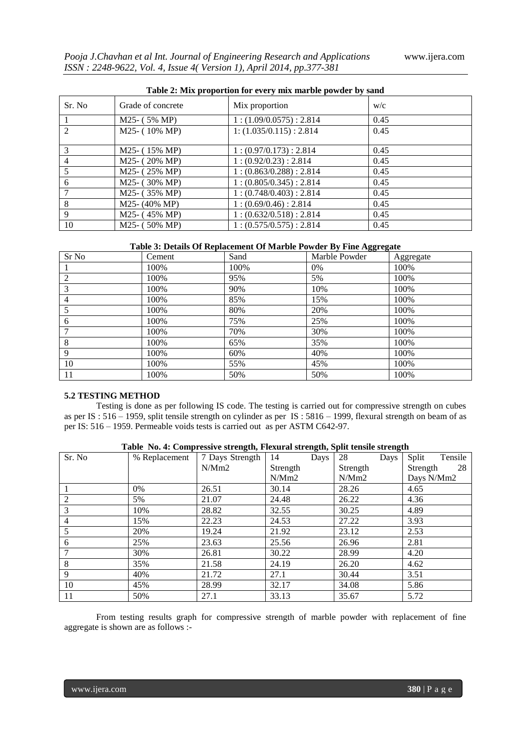| Table 2: Mix proportion for every mix marble powder by sand |                           |                         |      |  |  |  |  |
|-------------------------------------------------------------|---------------------------|-------------------------|------|--|--|--|--|
| Sr. No.                                                     | Grade of concrete         | Mix proportion          | W/c  |  |  |  |  |
|                                                             | $M25- (5\% MP)$           | 1:(1.09/0.0575):2.814   | 0.45 |  |  |  |  |
| $\mathcal{L}$                                               | $M25- (10\% MP)$          | 1: (1.035/0.115): 2.814 | 0.45 |  |  |  |  |
| 3                                                           | M25- (15% MP)             | 1:(0.97/0.173):2.814    | 0.45 |  |  |  |  |
| $\overline{4}$                                              | $M25-$ (20% MP)           | 1:(0.92/0.23):2.814     | 0.45 |  |  |  |  |
| 5                                                           | $M25-$ (25% MP)           | 1:(0.863/0.288):2.814   | 0.45 |  |  |  |  |
| 6                                                           | M25- (30% MP)             | 1:(0.805/0.345):2.814   | 0.45 |  |  |  |  |
| 7                                                           | M25- (35% MP)             | 1:(0.748/0.403):2.814   | 0.45 |  |  |  |  |
| 8                                                           | $M25 - (40\% \text{ MP})$ | 1:(0.69/0.46):2.814     | 0.45 |  |  |  |  |
| 9                                                           | M25- (45% MP)             | 1:(0.632/0.518):2.814   | 0.45 |  |  |  |  |
| 10                                                          | $M25- (50\% MP)$          | 1:(0.575/0.575):2.814   | 0.45 |  |  |  |  |

#### **Table 2: Mix proportion for every mix marble powder by sand**

#### **Table 3: Details Of Replacement Of Marble Powder By Fine Aggregate**

| Sr No          | Cement | Sand | Marble Powder | Aggregate |
|----------------|--------|------|---------------|-----------|
|                | 100%   | 100% | $0\%$         | 100%      |
| 2              | 100%   | 95%  | 5%            | 100%      |
| 3              | 100%   | 90%  | 10%           | 100%      |
| $\overline{4}$ | 100%   | 85%  | 15%           | 100%      |
|                | 100%   | 80%  | 20%           | 100%      |
| 6              | 100%   | 75%  | 25%           | 100%      |
| 7              | 100%   | 70%  | 30%           | 100%      |
| 8              | 100%   | 65%  | 35%           | 100%      |
| 9              | 100%   | 60%  | 40%           | 100%      |
| 10             | 100%   | 55%  | 45%           | 100%      |
| 11             | 100%   | 50%  | 50%           | 100%      |

#### **5.2 TESTING METHOD**

Testing is done as per following IS code. The testing is carried out for compressive strength on cubes as per IS : 516 – 1959, split tensile strength on cylinder as per IS : 5816 – 1999, flexural strength on beam of as per IS: 516 – 1959. Permeable voids tests is carried out as per ASTM C642-97.

| Sr. No         | % Replacement | $\mathbf{C}$<br>7 Days Strength | $\mathbf{C}$ $\mathbf{C}$<br>14<br>Days | -<br>28<br>Days | Split<br>Tensile |
|----------------|---------------|---------------------------------|-----------------------------------------|-----------------|------------------|
|                |               | N/Mm2                           | Strength                                | Strength        | Strength<br>- 28 |
|                |               |                                 | N/Mm2                                   | N/Mm2           | Days N/Mm2       |
|                | $0\%$         | 26.51                           | 30.14                                   | 28.26           | 4.65             |
| $\overline{2}$ | 5%            | 21.07                           | 24.48                                   | 26.22           | 4.36             |
| 3              | 10%           | 28.82                           | 32.55                                   | 30.25           | 4.89             |
| $\overline{4}$ | 15%           | 22.23                           | 24.53                                   | 27.22           | 3.93             |
| 5              | 20%           | 19.24                           | 21.92                                   | 23.12           | 2.53             |
| 6              | 25%           | 23.63                           | 25.56                                   | 26.96           | 2.81             |
| 7              | 30%           | 26.81                           | 30.22                                   | 28.99           | 4.20             |
| 8              | 35%           | 21.58                           | 24.19                                   | 26.20           | 4.62             |
| 9              | 40%           | 21.72                           | 27.1                                    | 30.44           | 3.51             |
| 10             | 45%           | 28.99                           | 32.17                                   | 34.08           | 5.86             |
| 11             | 50%           | 27.1                            | 33.13                                   | 35.67           | 5.72             |

#### **Table No. 4: Compressive strength, Flexural strength, Split tensile strength**

From testing results graph for compressive strength of marble powder with replacement of fine aggregate is shown are as follows :-